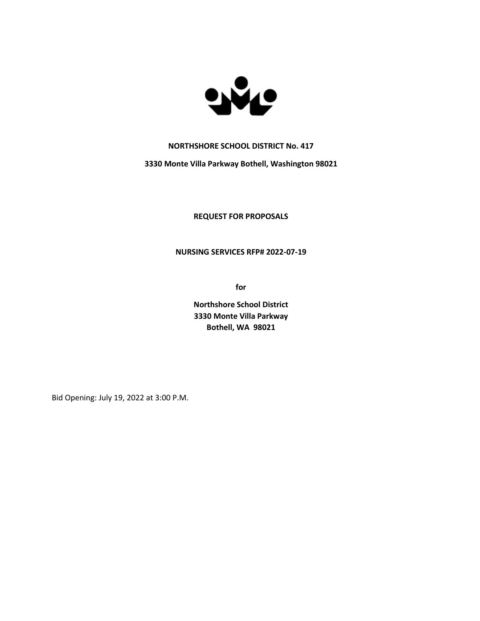

### **NORTHSHORE SCHOOL DISTRICT No. 417**

**3330 Monte Villa Parkway Bothell, Washington 98021**

### **REQUEST FOR PROPOSALS**

## **NURSING SERVICES RFP# 2022-07-19**

**for**

**Northshore School District 3330 Monte Villa Parkway Bothell, WA 98021**

Bid Opening: July 19, 2022 at 3:00 P.M.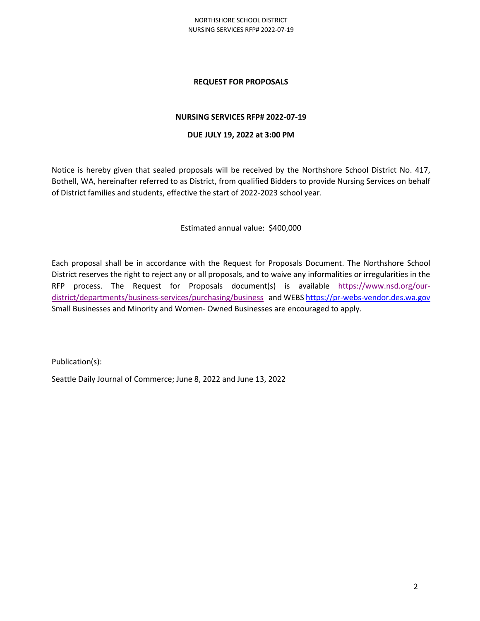#### NORTHSHORE SCHOOL DISTRICT NURSING SERVICES RFP# 2022-07-19

### **REQUEST FOR PROPOSALS**

### **NURSING SERVICES RFP# 2022-07-19**

### **DUE JULY 19, 2022 at 3:00 PM**

Notice is hereby given that sealed proposals will be received by the Northshore School District No. 417, Bothell, WA, hereinafter referred to as District, from qualified Bidders to provide Nursing Services on behalf of District families and students, effective the start of 2022-2023 school year.

Estimated annual value: \$400,000

Each proposal shall be in accordance with the Request for Proposals Document. The Northshore School District reserves the right to reject any or all proposals, and to waive any informalities or irregularities in the RFP process. The Request for Proposals document(s) is available [https://www.nsd.org/our](https://www.nsd.org/our-district/departments/business-services/purchasing/business)[district/departments/business-services/purchasing/business](https://www.nsd.org/our-district/departments/business-services/purchasing/business) and WEB[S https://pr-webs-vendor.des.wa.gov](https://pr-webs-vendor.des.wa.gov/)  Small Businesses and Minority and Women- Owned Businesses are encouraged to apply.

Publication(s):

Seattle Daily Journal of Commerce; June 8, 2022 and June 13, 2022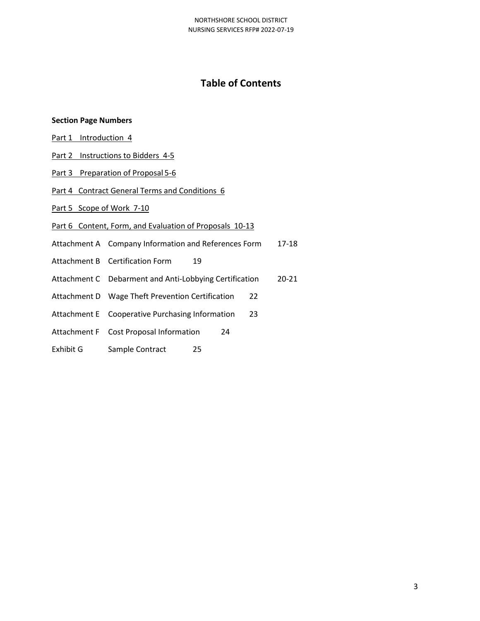# **Table of Contents**

### **Section Page Numbers**

- Part 1 [Introduction](#page-3-0) 4
- Part 2 [Instructions](#page-6-0) to Bidders 4-5
- Part 3 [Preparation of Proposal 5-6](#page-9-0)
- Part 4 Contract General Terms and Conditions 6
- Part 5 Scope of Work 7-10
- Part 6 Content, Form, and Evaluation of Proposals 10-13
- Attachment A Company Information and References Form 17-18
- Attachment B Certification Form 19
- Attachment C Debarment and Anti-Lobbying Certification 20-21
- Attachment D Wage Theft Prevention Certification 22
- Attachment E Cooperative Purchasing Information 23
- Attachment F Cost Proposal Information 24
- Exhibit G Sample Contract 25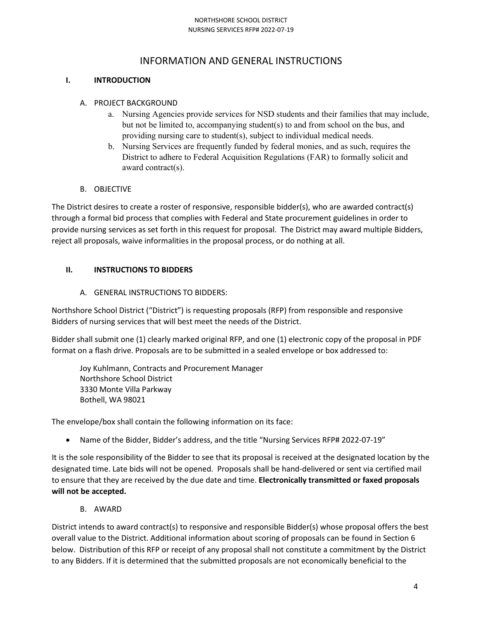# INFORMATION AND GENERAL INSTRUCTIONS

# <span id="page-3-0"></span>**I. INTRODUCTION**

- A. PROJECT BACKGROUND
	- a. Nursing Agencies provide services for NSD students and their families that may include, but not be limited to, accompanying student(s) to and from school on the bus, and providing nursing care to student(s), subject to individual medical needs.
	- b. Nursing Services are frequently funded by federal monies, and as such, requires the District to adhere to Federal Acquisition Regulations (FAR) to formally solicit and award contract(s).
- B. OBJECTIVE

The District desires to create a roster of responsive, responsible bidder(s), who are awarded contract(s) through a formal bid process that complies with Federal and State procurement guidelines in order to provide nursing services as set forth in this request for proposal. The District may award multiple Bidders, reject all proposals, waive informalities in the proposal process, or do nothing at all.

# **II. INSTRUCTIONS TO BIDDERS**

A. GENERAL INSTRUCTIONS TO BIDDERS:

Northshore School District ("District") is requesting proposals (RFP) from responsible and responsive Bidders of nursing services that will best meet the needs of the District.

Bidder shall submit one (1) clearly marked original RFP, and one (1) electronic copy of the proposal in PDF format on a flash drive. Proposals are to be submitted in a sealed envelope or box addressed to:

Joy Kuhlmann, Contracts and Procurement Manager Northshore School District 3330 Monte Villa Parkway Bothell, WA 98021

The envelope/box shall contain the following information on its face:

• Name of the Bidder, Bidder's address, and the title "Nursing Services RFP# 2022-07-19"

It is the sole responsibility of the Bidder to see that its proposal is received at the designated location by the designated time. Late bids will not be opened. Proposals shall be hand-delivered or sent via certified mail to ensure that they are received by the due date and time. **Electronically transmitted or faxed proposals will not be accepted.**

B. AWARD

District intends to award contract(s) to responsive and responsible Bidder(s) whose proposal offers the best overall value to the District. Additional information about scoring of proposals can be found in Section 6 below. Distribution of this RFP or receipt of any proposal shall not constitute a commitment by the District to any Bidders. If it is determined that the submitted proposals are not economically beneficial to the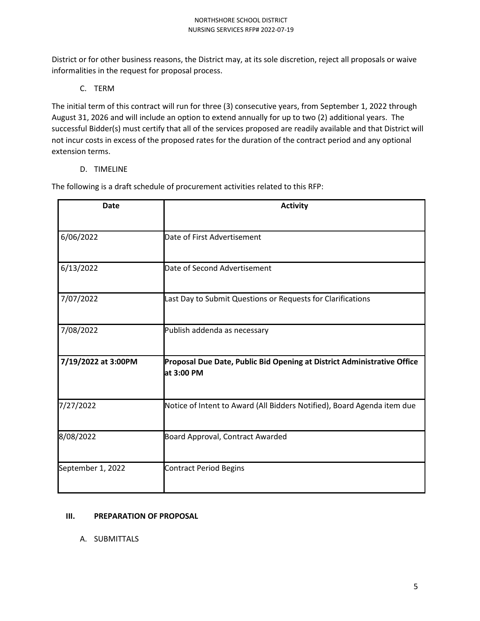District or for other business reasons, the District may, at its sole discretion, reject all proposals or waive informalities in the request for proposal process.

C. TERM

The initial term of this contract will run for three (3) consecutive years, from September 1, 2022 through August 31, 2026 and will include an option to extend annually for up to two (2) additional years. The successful Bidder(s) must certify that all of the services proposed are readily available and that District will not incur costs in excess of the proposed rates for the duration of the contract period and any optional extension terms.

D. TIMELINE

The following is a draft schedule of procurement activities related to this RFP:

| <b>Date</b>         | <b>Activity</b>                                                                       |  |
|---------------------|---------------------------------------------------------------------------------------|--|
| 6/06/2022           | Date of First Advertisement                                                           |  |
| 6/13/2022           | Date of Second Advertisement                                                          |  |
| 7/07/2022           | Last Day to Submit Questions or Requests for Clarifications                           |  |
| 7/08/2022           | Publish addenda as necessary                                                          |  |
| 7/19/2022 at 3:00PM | Proposal Due Date, Public Bid Opening at District Administrative Office<br>at 3:00 PM |  |
| 7/27/2022           | Notice of Intent to Award (All Bidders Notified), Board Agenda item due               |  |
| 8/08/2022           | Board Approval, Contract Awarded                                                      |  |
| September 1, 2022   | <b>Contract Period Begins</b>                                                         |  |

## **III. PREPARATION OF PROPOSAL**

A. SUBMITTALS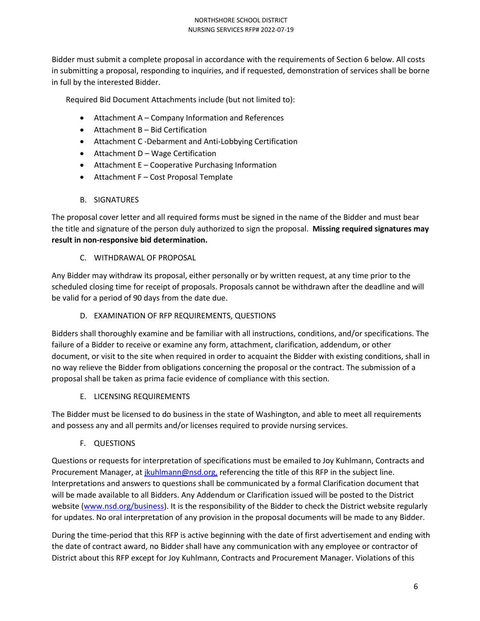Bidder must submit a complete proposal in accordance with the requirements of Section 6 below. All costs in submitting a proposal, responding to inquiries, and if requested, demonstration of services shall be borne in full by the interested Bidder.

Required Bid Document Attachments include (but not limited to):

- Attachment A Company Information and References
- Attachment B Bid Certification
- Attachment C -Debarment and Anti-Lobbying Certification
- Attachment D Wage Certification
- Attachment E Cooperative Purchasing Information
- Attachment F Cost Proposal Template

## B. SIGNATURES

The proposal cover letter and all required forms must be signed in the name of the Bidder and must bear the title and signature of the person duly authorized to sign the proposal. **Missing required signatures may result in non-responsive bid determination.**

## C. WITHDRAWAL OF PROPOSAL

Any Bidder may withdraw its proposal, either personally or by written request, at any time prior to the scheduled closing time for receipt of proposals. Proposals cannot be withdrawn after the deadline and will be valid for a period of 90 days from the date due.

## D. EXAMINATION OF RFP REQUIREMENTS, QUESTIONS

Bidders shall thoroughly examine and be familiar with all instructions, conditions, and/or specifications. The failure of a Bidder to receive or examine any form, attachment, clarification, addendum, or other document, or visit to the site when required in order to acquaint the Bidder with existing conditions, shall in no way relieve the Bidder from obligations concerning the proposal or the contract. The submission of a proposal shall be taken as prima facie evidence of compliance with this section.

## E. LICENSING REQUIREMENTS

The Bidder must be licensed to do business in the state of Washington, and able to meet all requirements and possess any and all permits and/or licenses required to provide nursing services.

F. QUESTIONS

Questions or requests for interpretation of specifications must be emailed to Joy Kuhlmann, Contracts and Procurement Manager, at [jkuhlmann@nsd.org,](mailto:jkuhlmann@nsd.org) referencing the title of this RFP in the subject line. Interpretations and answers to questions shall be communicated by a formal Clarification document that will be made available to all Bidders. Any Addendum or Clarification issued will be posted to the District website [\(www.nsd.org/business\)](http://www.nsd.org/business). It is the responsibility of the Bidder to check the District website regularly for updates. No oral interpretation of any provision in the proposal documents will be made to any Bidder.

During the time-period that this RFP is active beginning with the date of first advertisement and ending with the date of contract award, no Bidder shall have any communication with any employee or contractor of District about this RFP except for Joy Kuhlmann, Contracts and Procurement Manager. Violations of this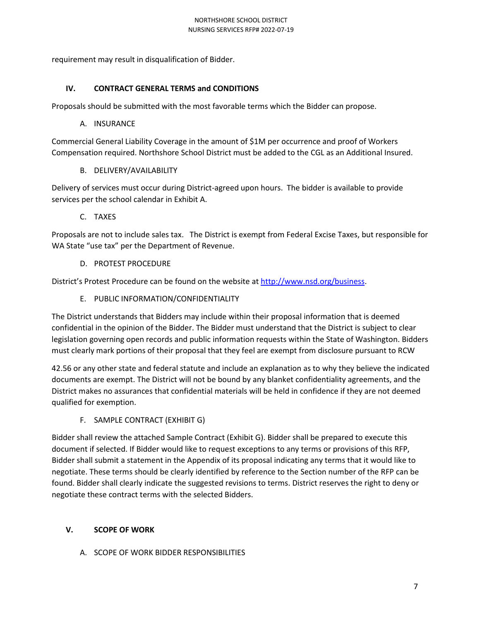requirement may result in disqualification of Bidder.

# **IV. CONTRACT GENERAL TERMS and CONDITIONS**

Proposals should be submitted with the most favorable terms which the Bidder can propose.

A. INSURANCE

Commercial General Liability Coverage in the amount of \$1M per occurrence and proof of Workers Compensation required. Northshore School District must be added to the CGL as an Additional Insured.

### B. DELIVERY/AVAILABILITY

Delivery of services must occur during District-agreed upon hours. The bidder is available to provide services per the school calendar in Exhibit A.

C. TAXES

Proposals are not to include sales tax. The District is exempt from Federal Excise Taxes, but responsible for WA State "use tax" per the Department of Revenue.

D. PROTEST PROCEDURE

District's Protest Procedure can be found on the website a[t http://www.nsd.org/business.](http://www.nsd.org/business)

E. PUBLIC INFORMATION/CONFIDENTIALITY

The District understands that Bidders may include within their proposal information that is deemed confidential in the opinion of the Bidder. The Bidder must understand that the District is subject to clear legislation governing open records and public information requests within the State of Washington. Bidders must clearly mark portions of their proposal that they feel are exempt from disclosure pursuant to RCW

42.56 or any other state and federal statute and include an explanation as to why they believe the indicated documents are exempt. The District will not be bound by any blanket confidentiality agreements, and the District makes no assurances that confidential materials will be held in confidence if they are not deemed qualified for exemption.

F. SAMPLE CONTRACT (EXHIBIT G)

Bidder shall review the attached Sample Contract (Exhibit G). Bidder shall be prepared to execute this document if selected. If Bidder would like to request exceptions to any terms or provisions of this RFP, Bidder shall submit a statement in the Appendix of its proposal indicating any terms that it would like to negotiate. These terms should be clearly identified by reference to the Section number of the RFP can be found. Bidder shall clearly indicate the suggested revisions to terms. District reserves the right to deny or negotiate these contract terms with the selected Bidders.

## <span id="page-6-0"></span>**V. SCOPE OF WORK**

A. SCOPE OF WORK BIDDER RESPONSIBILITIES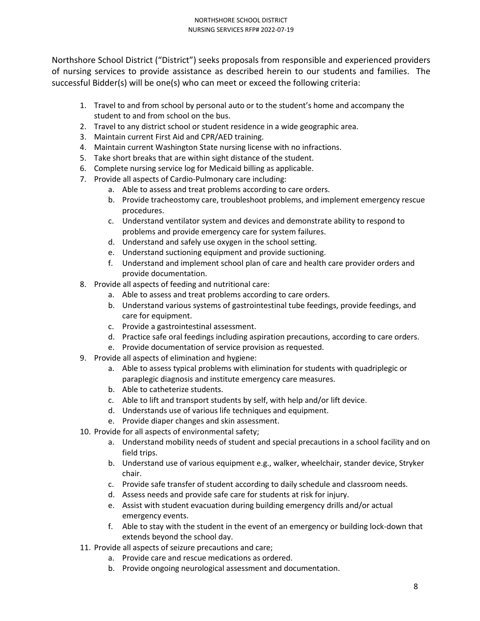Northshore School District ("District") seeks proposals from responsible and experienced providers of nursing services to provide assistance as described herein to our students and families. The successful Bidder(s) will be one(s) who can meet or exceed the following criteria:

- 1. Travel to and from school by personal auto or to the student's home and accompany the student to and from school on the bus.
- 2. Travel to any district school or student residence in a wide geographic area.
- 3. Maintain current First Aid and CPR/AED training.
- 4. Maintain current Washington State nursing license with no infractions.
- 5. Take short breaks that are within sight distance of the student.
- 6. Complete nursing service log for Medicaid billing as applicable.
- 7. Provide all aspects of Cardio-Pulmonary care including:
	- a. Able to assess and treat problems according to care orders.
		- b. Provide tracheostomy care, troubleshoot problems, and implement emergency rescue procedures.
		- c. Understand ventilator system and devices and demonstrate ability to respond to problems and provide emergency care for system failures.
		- d. Understand and safely use oxygen in the school setting.
		- e. Understand suctioning equipment and provide suctioning.
		- f. Understand and implement school plan of care and health care provider orders and provide documentation.
- 8. Provide all aspects of feeding and nutritional care:
	- a. Able to assess and treat problems according to care orders.
		- b. Understand various systems of gastrointestinal tube feedings, provide feedings, and care for equipment.
		- c. Provide a gastrointestinal assessment.
		- d. Practice safe oral feedings including aspiration precautions, according to care orders.
	- e. Provide documentation of service provision as requested.
- 9. Provide all aspects of elimination and hygiene:
	- a. Able to assess typical problems with elimination for students with quadriplegic or paraplegic diagnosis and institute emergency care measures.
	- b. Able to catheterize students.
	- c. Able to lift and transport students by self, with help and/or lift device.
	- d. Understands use of various life techniques and equipment.
	- e. Provide diaper changes and skin assessment.
- 10. Provide for all aspects of environmental safety;
	- a. Understand mobility needs of student and special precautions in a school facility and on field trips.
	- b. Understand use of various equipment e.g., walker, wheelchair, stander device, Stryker chair.
	- c. Provide safe transfer of student according to daily schedule and classroom needs.
	- d. Assess needs and provide safe care for students at risk for injury.
	- e. Assist with student evacuation during building emergency drills and/or actual emergency events.
	- f. Able to stay with the student in the event of an emergency or building lock-down that extends beyond the school day.
- 11. Provide all aspects of seizure precautions and care;
	- a. Provide care and rescue medications as ordered.
	- b. Provide ongoing neurological assessment and documentation.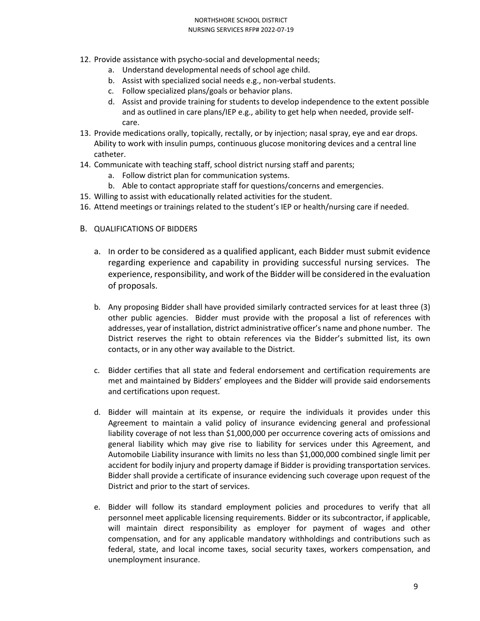### NORTHSHORE SCHOOL DISTRICT NURSING SERVICES RFP# 2022-07-19

- 12. Provide assistance with psycho-social and developmental needs;
	- a. Understand developmental needs of school age child.
	- b. Assist with specialized social needs e.g., non-verbal students.
	- c. Follow specialized plans/goals or behavior plans.
	- d. Assist and provide training for students to develop independence to the extent possible and as outlined in care plans/IEP e.g., ability to get help when needed, provide selfcare.
- 13. Provide medications orally, topically, rectally, or by injection; nasal spray, eye and ear drops. Ability to work with insulin pumps, continuous glucose monitoring devices and a central line catheter.
- 14. Communicate with teaching staff, school district nursing staff and parents;
	- a. Follow district plan for communication systems.
	- b. Able to contact appropriate staff for questions/concerns and emergencies.
- 15. Willing to assist with educationally related activities for the student.
- 16. Attend meetings or trainings related to the student's IEP or health/nursing care if needed.

### B. QUALIFICATIONS OF BIDDERS

- a. In order to be considered as a qualified applicant, each Bidder must submit evidence regarding experience and capability in providing successful nursing services. The experience, responsibility, and work of the Bidder will be considered in the evaluation of proposals.
- b. Any proposing Bidder shall have provided similarly contracted services for at least three (3) other public agencies. Bidder must provide with the proposal a list of references with addresses, year of installation, district administrative officer's name and phone number. The District reserves the right to obtain references via the Bidder's submitted list, its own contacts, or in any other way available to the District.
- c. Bidder certifies that all state and federal endorsement and certification requirements are met and maintained by Bidders' employees and the Bidder will provide said endorsements and certifications upon request.
- d. Bidder will maintain at its expense, or require the individuals it provides under this Agreement to maintain a valid policy of insurance evidencing general and professional liability coverage of not less than \$1,000,000 per occurrence covering acts of omissions and general liability which may give rise to liability for services under this Agreement, and Automobile Liability insurance with limits no less than \$1,000,000 combined single limit per accident for bodily injury and property damage if Bidder is providing transportation services. Bidder shall provide a certificate of insurance evidencing such coverage upon request of the District and prior to the start of services.
- e. Bidder will follow its standard employment policies and procedures to verify that all personnel meet applicable licensing requirements. Bidder or its subcontractor, if applicable, will maintain direct responsibility as employer for payment of wages and other compensation, and for any applicable mandatory withholdings and contributions such as federal, state, and local income taxes, social security taxes, workers compensation, and unemployment insurance.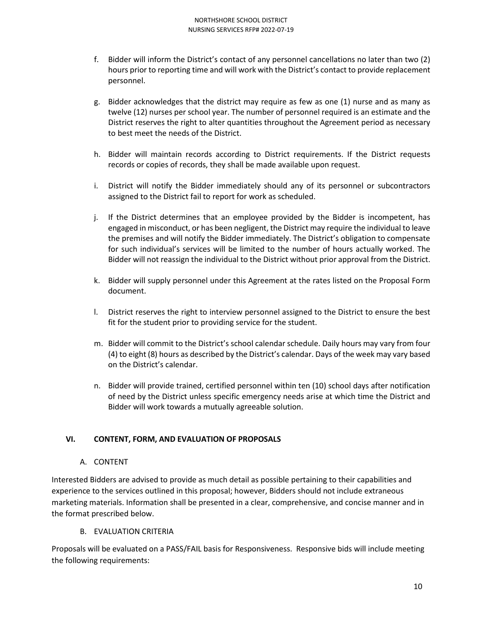- f. Bidder will inform the District's contact of any personnel cancellations no later than two (2) hours prior to reporting time and will work with the District's contact to provide replacement personnel.
- g. Bidder acknowledges that the district may require as few as one (1) nurse and as many as twelve (12) nurses per school year. The number of personnel required is an estimate and the District reserves the right to alter quantities throughout the Agreement period as necessary to best meet the needs of the District.
- h. Bidder will maintain records according to District requirements. If the District requests records or copies of records, they shall be made available upon request.
- i. District will notify the Bidder immediately should any of its personnel or subcontractors assigned to the District fail to report for work as scheduled.
- j. If the District determines that an employee provided by the Bidder is incompetent, has engaged in misconduct, or has been negligent, the District may require the individual to leave the premises and will notify the Bidder immediately. The District's obligation to compensate for such individual's services will be limited to the number of hours actually worked. The Bidder will not reassign the individual to the District without prior approval from the District.
- k. Bidder will supply personnel under this Agreement at the rates listed on the Proposal Form document.
- l. District reserves the right to interview personnel assigned to the District to ensure the best fit for the student prior to providing service for the student.
- m. Bidder will commit to the District's school calendar schedule. Daily hours may vary from four (4) to eight (8) hours as described by the District's calendar. Days of the week may vary based on the District's calendar.
- n. Bidder will provide trained, certified personnel within ten (10) school days after notification of need by the District unless specific emergency needs arise at which time the District and Bidder will work towards a mutually agreeable solution.

## <span id="page-9-0"></span>**VI. CONTENT, FORM, AND EVALUATION OF PROPOSALS**

### A. CONTENT

Interested Bidders are advised to provide as much detail as possible pertaining to their capabilities and experience to the services outlined in this proposal; however, Bidders should not include extraneous marketing materials. Information shall be presented in a clear, comprehensive, and concise manner and in the format prescribed below.

B. EVALUATION CRITERIA

Proposals will be evaluated on a PASS/FAIL basis for Responsiveness. Responsive bids will include meeting the following requirements: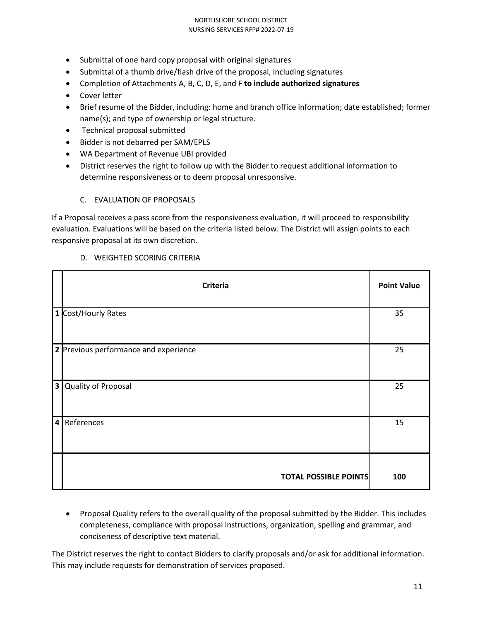### NORTHSHORE SCHOOL DISTRICT NURSING SERVICES RFP# 2022-07-19

- Submittal of one hard copy proposal with original signatures
- Submittal of a thumb drive/flash drive of the proposal, including signatures
- Completion of Attachments A, B, C, D, E, and F **to include authorized signatures**
- Cover letter
- Brief resume of the Bidder, including: home and branch office information; date established; former name(s); and type of ownership or legal structure.
- Technical proposal submitted
- Bidder is not debarred per SAM/EPLS
- WA Department of Revenue UBI provided
- District reserves the right to follow up with the Bidder to request additional information to determine responsiveness or to deem proposal unresponsive.

### C. EVALUATION OF PROPOSALS

If a Proposal receives a pass score from the responsiveness evaluation, it will proceed to responsibility evaluation. Evaluations will be based on the criteria listed below. The District will assign points to each responsive proposal at its own discretion.

|                | <b>Criteria</b>                       |     |
|----------------|---------------------------------------|-----|
|                | 1 Cost/Hourly Rates                   | 35  |
|                | 2 Previous performance and experience | 25  |
| 3 <sup>1</sup> | Quality of Proposal                   | 25  |
|                | 4 References                          | 15  |
|                | <b>TOTAL POSSIBLE POINTS</b>          | 100 |

### D. WEIGHTED SCORING CRITERIA

• Proposal Quality refers to the overall quality of the proposal submitted by the Bidder. This includes completeness, compliance with proposal instructions, organization, spelling and grammar, and conciseness of descriptive text material.

The District reserves the right to contact Bidders to clarify proposals and/or ask for additional information. This may include requests for demonstration of services proposed.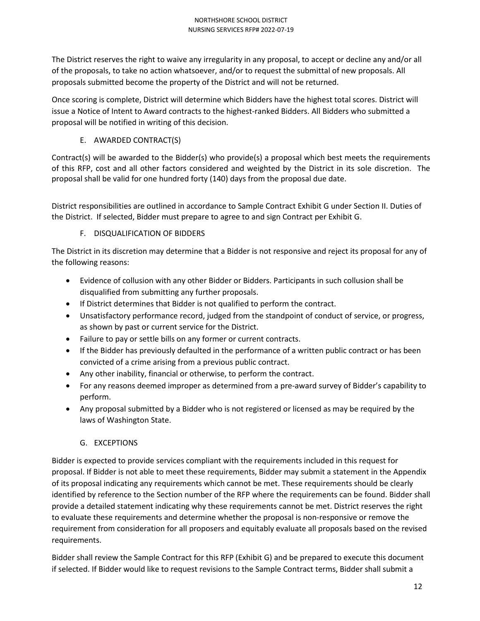The District reserves the right to waive any irregularity in any proposal, to accept or decline any and/or all of the proposals, to take no action whatsoever, and/or to request the submittal of new proposals. All proposals submitted become the property of the District and will not be returned.

Once scoring is complete, District will determine which Bidders have the highest total scores. District will issue a Notice of Intent to Award contracts to the highest-ranked Bidders. All Bidders who submitted a proposal will be notified in writing of this decision.

# E. AWARDED CONTRACT(S)

Contract(s) will be awarded to the Bidder(s) who provide(s) a proposal which best meets the requirements of this RFP, cost and all other factors considered and weighted by the District in its sole discretion. The proposal shall be valid for one hundred forty (140) days from the proposal due date.

District responsibilities are outlined in accordance to Sample Contract Exhibit G under Section II. Duties of the District. If selected, Bidder must prepare to agree to and sign Contract per Exhibit G.

# F. DISQUALIFICATION OF BIDDERS

The District in its discretion may determine that a Bidder is not responsive and reject its proposal for any of the following reasons:

- Evidence of collusion with any other Bidder or Bidders. Participants in such collusion shall be disqualified from submitting any further proposals.
- If District determines that Bidder is not qualified to perform the contract.
- Unsatisfactory performance record, judged from the standpoint of conduct of service, or progress, as shown by past or current service for the District.
- Failure to pay or settle bills on any former or current contracts.
- If the Bidder has previously defaulted in the performance of a written public contract or has been convicted of a crime arising from a previous public contract.
- Any other inability, financial or otherwise, to perform the contract.
- For any reasons deemed improper as determined from a pre-award survey of Bidder's capability to perform.
- Any proposal submitted by a Bidder who is not registered or licensed as may be required by the laws of Washington State.

# G. EXCEPTIONS

Bidder is expected to provide services compliant with the requirements included in this request for proposal. If Bidder is not able to meet these requirements, Bidder may submit a statement in the Appendix of its proposal indicating any requirements which cannot be met. These requirements should be clearly identified by reference to the Section number of the RFP where the requirements can be found. Bidder shall provide a detailed statement indicating why these requirements cannot be met. District reserves the right to evaluate these requirements and determine whether the proposal is non-responsive or remove the requirement from consideration for all proposers and equitably evaluate all proposals based on the revised requirements.

Bidder shall review the Sample Contract for this RFP (Exhibit G) and be prepared to execute this document if selected. If Bidder would like to request revisions to the Sample Contract terms, Bidder shall submit a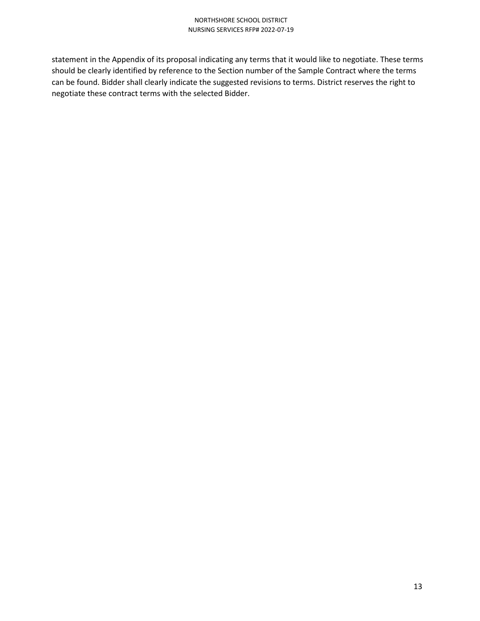### NORTHSHORE SCHOOL DISTRICT NURSING SERVICES RFP# 2022-07-19

statement in the Appendix of its proposal indicating any terms that it would like to negotiate. These terms should be clearly identified by reference to the Section number of the Sample Contract where the terms can be found. Bidder shall clearly indicate the suggested revisions to terms. District reserves the right to negotiate these contract terms with the selected Bidder.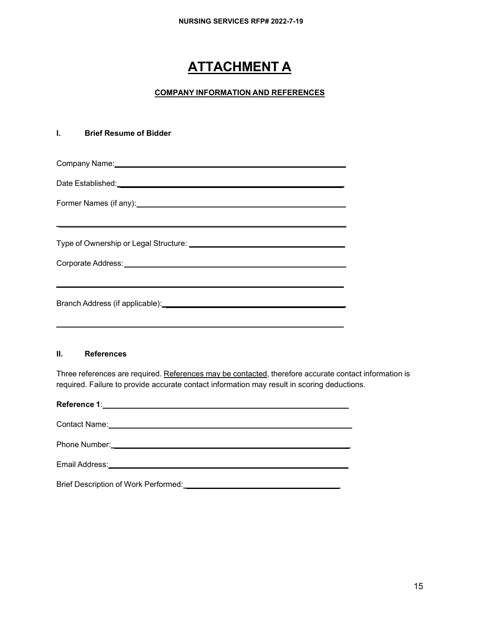# **ATTACHMENT A**

### **COMPANY INFORMATION AND REFERENCES**

### **I. Brief Resume of Bidder**

| Company Name: Name: Name of All Albert Company Name: Name of Albert Company Name of Albert Company Name of Albert Company of Albert Company of Albert Company of Albert Company of Albert Company of Albert Company of Albert  |  |  |
|--------------------------------------------------------------------------------------------------------------------------------------------------------------------------------------------------------------------------------|--|--|
|                                                                                                                                                                                                                                |  |  |
| Former Names (if any): example and the set of the set of the set of the set of the set of the set of the set of the set of the set of the set of the set of the set of the set of the set of the set of the set of the set of  |  |  |
| Corporate Address: National Address Corporate Address: National Address Corporate Address Corporation Corporation                                                                                                              |  |  |
| Branch Address (if applicable): North American Contract of the Second Second Second Second Second Second Second Second Second Second Second Second Second Second Second Second Second Second Second Second Second Second Secon |  |  |

### **II. References**

Three references are required. References may be contacted, therefore accurate contact information is required. Failure to provide accurate contact information may result in scoring deductions.

| Phone Number: National Accounts and Accounts and Accounts and Accounts are also accounts and Accounts are also |
|----------------------------------------------------------------------------------------------------------------|
| Email Address: University of President Press, and Press, and Press, and Press, and Press, and Press, and       |
|                                                                                                                |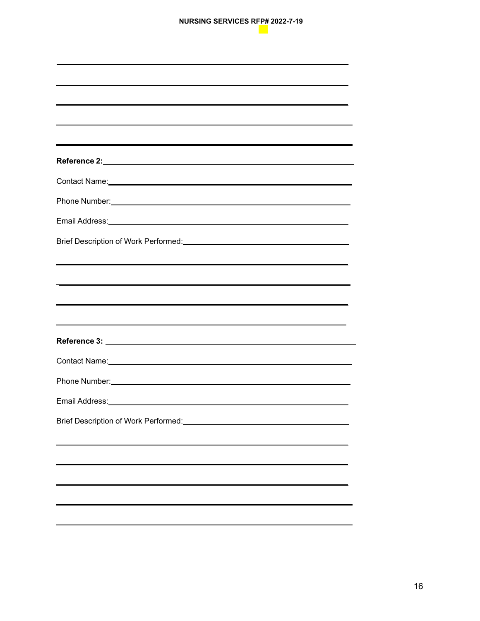### **NURSING SERVICES RFP# 2022-7-19**

| <u> 1989 - Andrea Santa Andrea Santa Andrea Santa Andrea Santa Andrea Santa Andrea Santa Andrea Santa Andrea San</u>                                                                                                           |  |
|--------------------------------------------------------------------------------------------------------------------------------------------------------------------------------------------------------------------------------|--|
| ,我们也不会有什么。""我们的人,我们也不会有什么?""我们的人,我们也不会有什么?""我们的人,我们也不会有什么?""我们的人,我们也不会有什么?""我们的人                                                                                                                                               |  |
|                                                                                                                                                                                                                                |  |
|                                                                                                                                                                                                                                |  |
| Phone Number: Note and the service of the service of the service of the service of the service of the service of the service of the service of the service of the service of the service of the service of the service of the  |  |
|                                                                                                                                                                                                                                |  |
| Brief Description of Work Performed: Network and Contract to the Contract of Contract of Contract of Contract A                                                                                                                |  |
|                                                                                                                                                                                                                                |  |
| <u> 1989 - Jan Salaman Salaman (j. 1989)</u>                                                                                                                                                                                   |  |
| ,我们也不会有什么。""我们的人,我们也不会有什么?""我们的人,我们也不会有什么?""我们的人,我们也不会有什么?""我们的人,我们也不会有什么?""我们的人                                                                                                                                               |  |
| ,我们也不会有什么。""我们的人,我们也不会有什么?""我们的人,我们也不会有什么?""我们的人,我们也不会有什么?""我们的人,我们也不会有什么?""我们的人                                                                                                                                               |  |
|                                                                                                                                                                                                                                |  |
|                                                                                                                                                                                                                                |  |
|                                                                                                                                                                                                                                |  |
| Email Address: University of the Contract of the Contract of the Contract of the Contract of the Contract of the Contract of the Contract of the Contract of the Contract of the Contract of the Contract of the Contract of t |  |
| Brief Description of Work Performed: Network of Change and Changes and Changes and Changes and Changes and Changes and Changes and Changes and Changes and Changes and Changes and Changes and Changes and Changes and Changes |  |
|                                                                                                                                                                                                                                |  |
|                                                                                                                                                                                                                                |  |
|                                                                                                                                                                                                                                |  |
|                                                                                                                                                                                                                                |  |
|                                                                                                                                                                                                                                |  |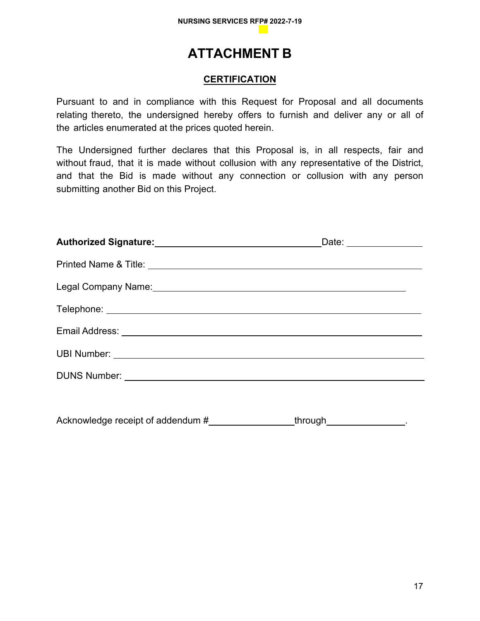# **ATTACHMENT B**

# **CERTIFICATION**

Pursuant to and in compliance with this Request for Proposal and all documents relating thereto, the undersigned hereby offers to furnish and deliver any or all of the articles enumerated at the prices quoted herein.

The Undersigned further declares that this Proposal is, in all respects, fair and without fraud, that it is made without collusion with any representative of the District, and that the Bid is made without any connection or collusion with any person submitting another Bid on this Project.

| Authorized Signature: Authorized Signature: | _Date: _______________ |  |
|---------------------------------------------|------------------------|--|
|                                             |                        |  |
|                                             |                        |  |
|                                             |                        |  |
|                                             |                        |  |
|                                             |                        |  |
|                                             |                        |  |
|                                             |                        |  |
|                                             |                        |  |

Acknowledge receipt of addendum # through through through the state of a through the state of a state of a through the state of a state of a state of a state of a state of a state of a state of a state of a state of a stat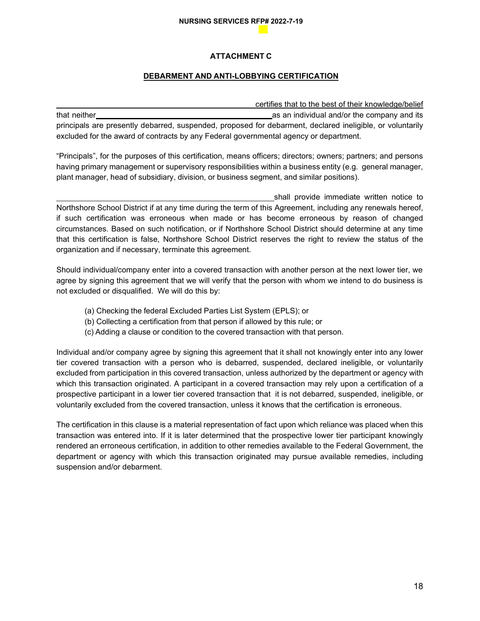#### **NURSING SERVICES RFP# 2022-7-19**

### **ATTACHMENT C**

### **DEBARMENT AND ANTI-LOBBYING CERTIFICATION**

certifies that to the best of their knowledge/belief that neither as an individual and/or the company and its principals are presently debarred, suspended, proposed for debarment, declared ineligible, or voluntarily excluded for the award of contracts by any Federal governmental agency or department.

"Principals", for the purposes of this certification, means officers; directors; owners; partners; and persons having primary management or supervisory responsibilities within a business entity (e.g. general manager, plant manager, head of subsidiary, division, or business segment, and similar positions).

shall provide immediate written notice to Northshore School District if at any time during the term of this Agreement, including any renewals hereof, if such certification was erroneous when made or has become erroneous by reason of changed circumstances. Based on such notification, or if Northshore School District should determine at any time that this certification is false, Northshore School District reserves the right to review the status of the organization and if necessary, terminate this agreement.

Should individual/company enter into a covered transaction with another person at the next lower tier, we agree by signing this agreement that we will verify that the person with whom we intend to do business is not excluded or disqualified. We will do this by:

- (a) Checking the federal Excluded Parties List System (EPLS); or
- (b) Collecting a certification from that person if allowed by this rule; or
- (c) Adding a clause or condition to the covered transaction with that person.

Individual and/or company agree by signing this agreement that it shall not knowingly enter into any lower tier covered transaction with a person who is debarred, suspended, declared ineligible, or voluntarily excluded from participation in this covered transaction, unless authorized by the department or agency with which this transaction originated. A participant in a covered transaction may rely upon a certification of a prospective participant in a lower tier covered transaction that it is not debarred, suspended, ineligible, or voluntarily excluded from the covered transaction, unless it knows that the certification is erroneous.

The certification in this clause is a material representation of fact upon which reliance was placed when this transaction was entered into. If it is later determined that the prospective lower tier participant knowingly rendered an erroneous certification, in addition to other remedies available to the Federal Government, the department or agency with which this transaction originated may pursue available remedies, including suspension and/or debarment.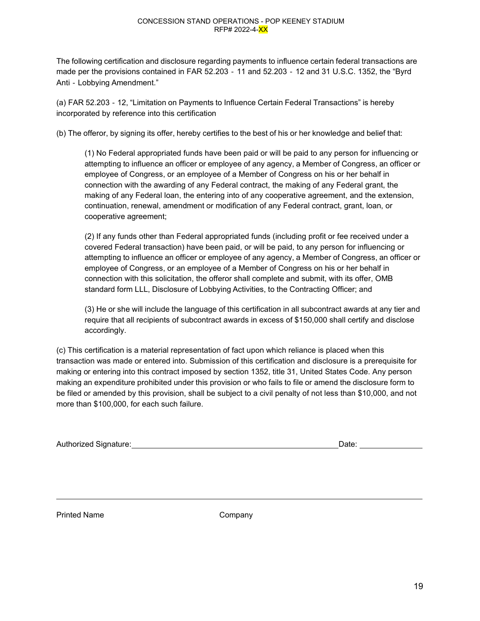#### CONCESSION STAND OPERATIONS - POP KEENEY STADIUM RFP# 2022-4-XX

The following certification and disclosure regarding payments to influence certain federal transactions are made per the provisions contained in FAR 52.203 ‐ 11 and 52.203 ‐ 12 and 31 U.S.C. 1352, the "Byrd Anti ‐ Lobbying Amendment."

(a) FAR 52.203 ‐ 12, "Limitation on Payments to Influence Certain Federal Transactions" is hereby incorporated by reference into this certification

(b) The offeror, by signing its offer, hereby certifies to the best of his or her knowledge and belief that:

(1) No Federal appropriated funds have been paid or will be paid to any person for influencing or attempting to influence an officer or employee of any agency, a Member of Congress, an officer or employee of Congress, or an employee of a Member of Congress on his or her behalf in connection with the awarding of any Federal contract, the making of any Federal grant, the making of any Federal loan, the entering into of any cooperative agreement, and the extension, continuation, renewal, amendment or modification of any Federal contract, grant, loan, or cooperative agreement;

(2) If any funds other than Federal appropriated funds (including profit or fee received under a covered Federal transaction) have been paid, or will be paid, to any person for influencing or attempting to influence an officer or employee of any agency, a Member of Congress, an officer or employee of Congress, or an employee of a Member of Congress on his or her behalf in connection with this solicitation, the offeror shall complete and submit, with its offer, OMB standard form LLL, Disclosure of Lobbying Activities, to the Contracting Officer; and

(3) He or she will include the language of this certification in all subcontract awards at any tier and require that all recipients of subcontract awards in excess of \$150,000 shall certify and disclose accordingly.

(c) This certification is a material representation of fact upon which reliance is placed when this transaction was made or entered into. Submission of this certification and disclosure is a prerequisite for making or entering into this contract imposed by section 1352, title 31, United States Code. Any person making an expenditure prohibited under this provision or who fails to file or amend the disclosure form to be filed or amended by this provision, shall be subject to a civil penalty of not less than \$10,000, and not more than \$100,000, for each such failure.

| Authorized Signature: | Date: |  |
|-----------------------|-------|--|
|-----------------------|-------|--|

Printed Name Company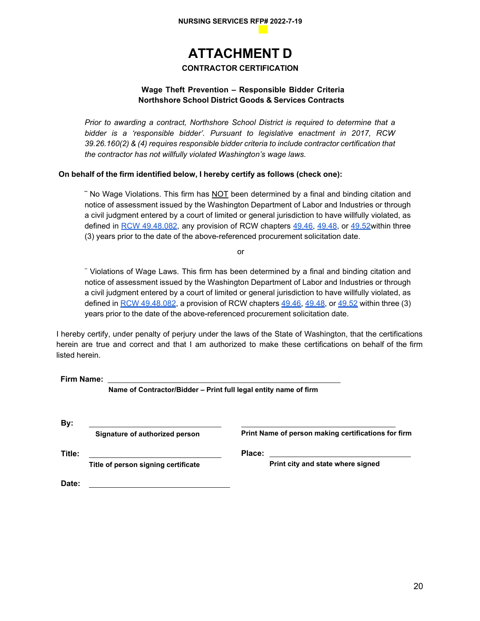# **ATTACHMENT D**

### **CONTRACTOR CERTIFICATION**

### **Wage Theft Prevention – Responsible Bidder Criteria Northshore School District Goods & Services Contracts**

*Prior to awarding a contract, Northshore School District is required to determine that a bidder is a 'responsible bidder'. Pursuant to legislative enactment in 2017, RCW 39.26.160(2) & (4) requires responsible bidder criteria to include contractor certification that the contractor has not willfully violated Washington's wage laws.*

### **On behalf of the firm identified below, I hereby certify as follows (check one):**

**¨** No Wage Violations. This firm has NOT been determined by a final and binding citation and notice of assessment issued by the Washington Department of Labor and Industries or through a civil judgment entered by a court of limited or general jurisdiction to have willfully violated, as defined in [RCW 49.48.082,](http://app.leg.wa.gov/RCW/default.aspx?cite=49.48.082) any provision of RCW chapters [49.46,](http://app.leg.wa.gov/RCW/default.aspx?cite=49.46) [49.48,](http://app.leg.wa.gov/RCW/default.aspx?cite=49.48) or 49.52 within three (3) years prior to the date of the above-referenced procurement solicitation date.

or

¨ Violations of Wage Laws. This firm has been determined by a final and binding citation and notice of assessment issued by the Washington Department of Labor and Industries or through a civil judgment entered by a court of limited or general jurisdiction to have willfully violated, as defined in [RCW 49.48.082,](http://app.leg.wa.gov/RCW/default.aspx?cite=49.48.082) a provision of RCW chapters [49.46,](http://app.leg.wa.gov/RCW/default.aspx?cite=49.46) [49.48,](http://app.leg.wa.gov/RCW/default.aspx?cite=49.48) or [49.52](http://app.leg.wa.gov/RCW/default.aspx?cite=49.52) within three (3) years prior to the date of the above-referenced procurement solicitation date.

I hereby certify, under penalty of perjury under the laws of the State of Washington, that the certifications herein are true and correct and that I am authorized to make these certifications on behalf of the firm listed herein.

**Firm Name:** 

**Name of Contractor/Bidder – Print full legal entity name of firm**

| By:    |                                     |                                                     |
|--------|-------------------------------------|-----------------------------------------------------|
|        | Signature of authorized person      | Print Name of person making certifications for firm |
| Title: |                                     | Place:                                              |
|        | Title of person signing certificate | Print city and state where signed                   |
| Date:  |                                     |                                                     |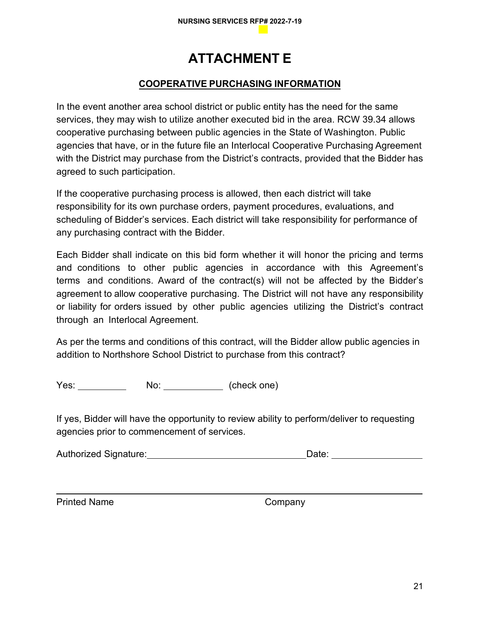# **ATTACHMENT E**

# **COOPERATIVE PURCHASING INFORMATION**

In the event another area school district or public entity has the need for the same services, they may wish to utilize another executed bid in the area. RCW 39.34 allows cooperative purchasing between public agencies in the State of Washington. Public agencies that have, or in the future file an Interlocal Cooperative Purchasing Agreement with the District may purchase from the District's contracts, provided that the Bidder has agreed to such participation.

If the cooperative purchasing process is allowed, then each district will take responsibility for its own purchase orders, payment procedures, evaluations, and scheduling of Bidder's services. Each district will take responsibility for performance of any purchasing contract with the Bidder.

Each Bidder shall indicate on this bid form whether it will honor the pricing and terms and conditions to other public agencies in accordance with this Agreement's terms and conditions. Award of the contract(s) will not be affected by the Bidder's agreement to allow cooperative purchasing. The District will not have any responsibility or liability for orders issued by other public agencies utilizing the District's contract through an Interlocal Agreement.

As per the terms and conditions of this contract, will the Bidder allow public agencies in addition to Northshore School District to purchase from this contract?

Yes: No: (check one)

If yes, Bidder will have the opportunity to review ability to perform/deliver to requesting agencies prior to commencement of services.

Authorized Signature: Date:

Printed Name Company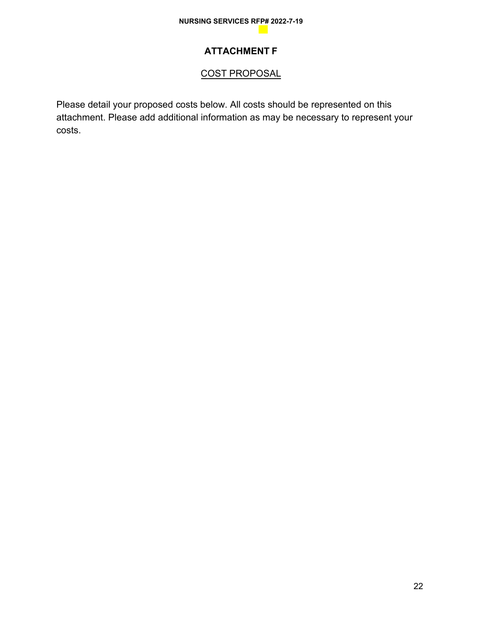# **ATTACHMENT F**

# COST PROPOSAL

Please detail your proposed costs below. All costs should be represented on this attachment. Please add additional information as may be necessary to represent your costs.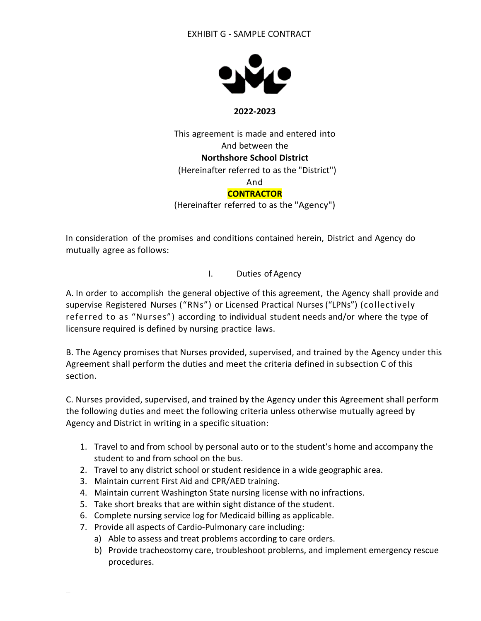# EXHIBIT G - SAMPLE CONTRACT



### **2022-2023**

This agreement is made and entered into And between the **Northshore School District** (Hereinafter referred to as the "District") And **CONTRACTOR** (Hereinafter referred to as the "Agency")

In consideration of the promises and conditions contained herein, District and Agency do mutually agree as follows:

# I. Duties of Agency

A. In order to accomplish the general objective of this agreement, the Agency shall provide and supervise Registered Nurses ("RNs") or Licensed Practical Nurses ("LPNs") (collectively referred to as "Nurses") according to individual student needs and/or where the type of licensure required is defined by nursing practice laws.

B. The Agency promises that Nurses provided, supervised, and trained by the Agency under this Agreement shall perform the duties and meet the criteria defined in subsection C of this section.

C. Nurses provided, supervised, and trained by the Agency under this Agreement shall perform the following duties and meet the following criteria unless otherwise mutually agreed by Agency and District in writing in a specific situation:

- 1. Travel to and from school by personal auto or to the student's home and accompany the student to and from school on the bus.
- 2. Travel to any district school or student residence in a wide geographic area.
- 3. Maintain current First Aid and CPR/AED training.
- 4. Maintain current Washington State nursing license with no infractions.
- 5. Take short breaks that are within sight distance of the student.
- 6. Complete nursing service log for Medicaid billing as applicable.
- 7. Provide all aspects of Cardio-Pulmonary care including:
	- a) Able to assess and treat problems according to care orders.
	- b) Provide tracheostomy care, troubleshoot problems, and implement emergency rescue procedures.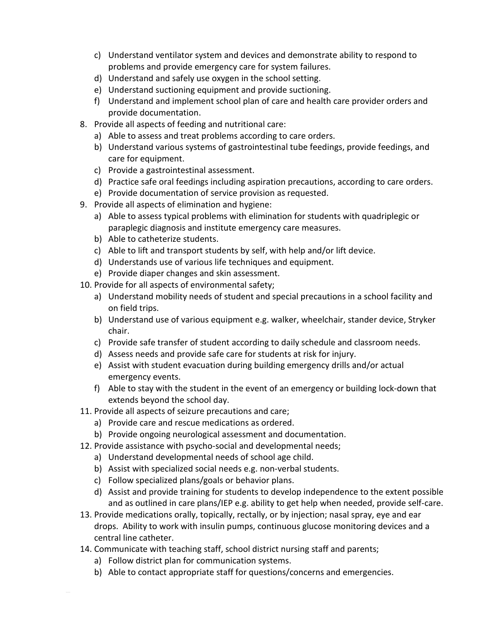- c) Understand ventilator system and devices and demonstrate ability to respond to problems and provide emergency care for system failures.
- d) Understand and safely use oxygen in the school setting.
- e) Understand suctioning equipment and provide suctioning.
- f) Understand and implement school plan of care and health care provider orders and provide documentation.
- 8. Provide all aspects of feeding and nutritional care:
	- a) Able to assess and treat problems according to care orders.
	- b) Understand various systems of gastrointestinal tube feedings, provide feedings, and care for equipment.
	- c) Provide a gastrointestinal assessment.
	- d) Practice safe oral feedings including aspiration precautions, according to care orders.
	- e) Provide documentation of service provision as requested.
- 9. Provide all aspects of elimination and hygiene:
	- a) Able to assess typical problems with elimination for students with quadriplegic or paraplegic diagnosis and institute emergency care measures.
	- b) Able to catheterize students.
	- c) Able to lift and transport students by self, with help and/or lift device.
	- d) Understands use of various life techniques and equipment.
	- e) Provide diaper changes and skin assessment.
- 10. Provide for all aspects of environmental safety;
	- a) Understand mobility needs of student and special precautions in a school facility and on field trips.
	- b) Understand use of various equipment e.g. walker, wheelchair, stander device, Stryker chair.
	- c) Provide safe transfer of student according to daily schedule and classroom needs.
	- d) Assess needs and provide safe care for students at risk for injury.
	- e) Assist with student evacuation during building emergency drills and/or actual emergency events.
	- f) Able to stay with the student in the event of an emergency or building lock-down that extends beyond the school day.
- 11. Provide all aspects of seizure precautions and care;
	- a) Provide care and rescue medications as ordered.
	- b) Provide ongoing neurological assessment and documentation.
- 12. Provide assistance with psycho-social and developmental needs;
	- a) Understand developmental needs of school age child.
	- b) Assist with specialized social needs e.g. non-verbal students.
	- c) Follow specialized plans/goals or behavior plans.
	- d) Assist and provide training for students to develop independence to the extent possible and as outlined in care plans/IEP e.g. ability to get help when needed, provide self-care.
- 13. Provide medications orally, topically, rectally, or by injection; nasal spray, eye and ear drops. Ability to work with insulin pumps, continuous glucose monitoring devices and a central line catheter.
- 14. Communicate with teaching staff, school district nursing staff and parents;
	- a) Follow district plan for communication systems.
	- b) Able to contact appropriate staff for questions/concerns and emergencies.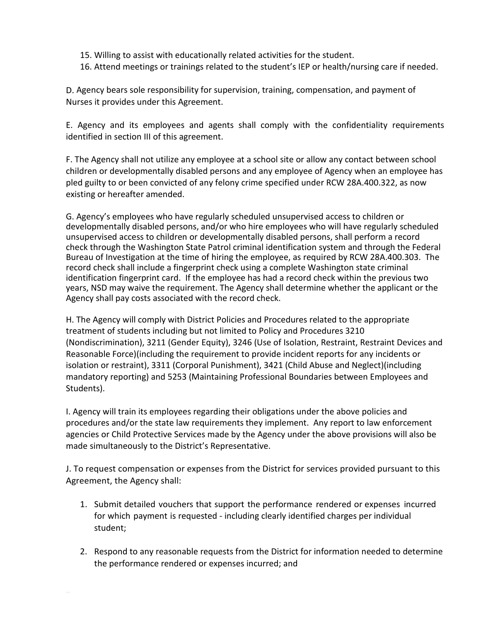- 15. Willing to assist with educationally related activities for the student.
- 16. Attend meetings or trainings related to the student's IEP or health/nursing care if needed.

D. Agency bears sole responsibility for supervision, training, compensation, and payment of Nurses it provides under this Agreement.

E. Agency and its employees and agents shall comply with the confidentiality requirements identified in section III of this agreement.

F. The Agency shall not utilize any employee at a school site or allow any contact between school children or developmentally disabled persons and any employee of Agency when an employee has pled guilty to or been convicted of any felony crime specified under RCW 28A.400.322, as now existing or hereafter amended.

G. Agency's employees who have regularly scheduled unsupervised access to children or developmentally disabled persons, and/or who hire employees who will have regularly scheduled unsupervised access to children or developmentally disabled persons, shall perform a record check through the Washington State Patrol criminal identification system and through the Federal Bureau of Investigation at the time of hiring the employee, as required by RCW 28A.400.303. The record check shall include a fingerprint check using a complete Washington state criminal identification fingerprint card. If the employee has had a record check within the previous two years, NSD may waive the requirement. The Agency shall determine whether the applicant or the Agency shall pay costs associated with the record check.

H. The Agency will comply with District Policies and Procedures related to the appropriate treatment of students including but not limited to Policy and Procedures 3210 (Nondiscrimination), 3211 (Gender Equity), 3246 (Use of Isolation, Restraint, Restraint Devices and Reasonable Force)(including the requirement to provide incident reports for any incidents or isolation or restraint), 3311 (Corporal Punishment), 3421 (Child Abuse and Neglect)(including mandatory reporting) and 5253 (Maintaining Professional Boundaries between Employees and Students).

I. Agency will train its employees regarding their obligations under the above policies and procedures and/or the state law requirements they implement. Any report to law enforcement agencies or Child Protective Services made by the Agency under the above provisions will also be made simultaneously to the District's Representative.

J. To request compensation or expenses from the District for services provided pursuant to this Agreement, the Agency shall:

- 1. Submit detailed vouchers that support the performance rendered or expenses incurred for which payment is requested - including clearly identified charges per individual student;
- 2. Respond to any reasonable requests from the District for information needed to determine the performance rendered or expenses incurred; and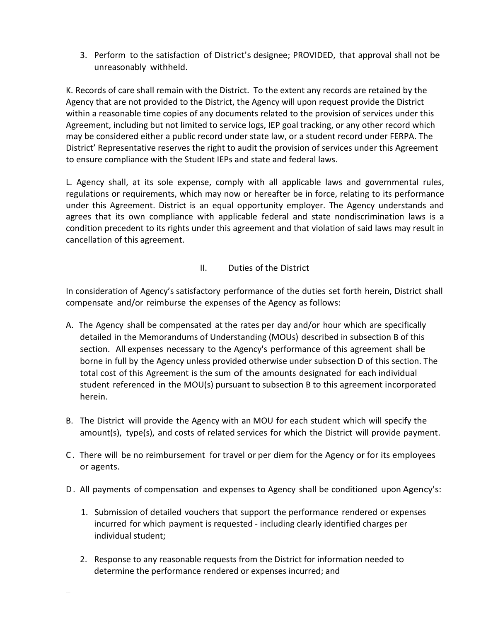3. Perform to the satisfaction of District's designee; PROVIDED, that approval shall not be unreasonably withheld.

K. Records of care shall remain with the District. To the extent any records are retained by the Agency that are not provided to the District, the Agency will upon request provide the District within a reasonable time copies of any documents related to the provision of services under this Agreement, including but not limited to service logs, IEP goal tracking, or any other record which may be considered either a public record under state law, or a student record under FERPA. The District' Representative reserves the right to audit the provision of services under this Agreement to ensure compliance with the Student IEPs and state and federal laws.

L. Agency shall, at its sole expense, comply with all applicable laws and governmental rules, regulations or requirements, which may now or hereafter be in force, relating to its performance under this Agreement. District is an equal opportunity employer. The Agency understands and agrees that its own compliance with applicable federal and state nondiscrimination laws is a condition precedent to its rights under this agreement and that violation of said laws may result in cancellation of this agreement.

# II. Duties of the District

In consideration of Agency's satisfactory performance of the duties set forth herein, District shall compensate and/or reimburse the expenses of the Agency as follows:

- A. The Agency shall be compensated at the rates per day and/or hour which are specifically detailed in the Memorandums of Understanding (MOUs) described in subsection B of this section. All expenses necessary to the Agency's performance of this agreement shall be borne in full by the Agency unless provided otherwise under subsection D of this section. The total cost of this Agreement is the sum of the amounts designated for each individual student referenced in the MOU(s) pursuant to subsection B to this agreement incorporated herein.
- B. The District will provide the Agency with an MOU for each student which will specify the amount(s), type(s), and costs of related services for which the District will provide payment.
- C. There will be no reimbursement for travel or per diem for the Agency or for its employees or agents.
- D. All payments of compensation and expenses to Agency shall be conditioned upon Agency's:
	- 1. Submission of detailed vouchers that support the performance rendered or expenses incurred for which payment is requested - including clearly identified charges per individual student;
	- 2. Response to any reasonable requests from the District for information needed to determine the performance rendered or expenses incurred; and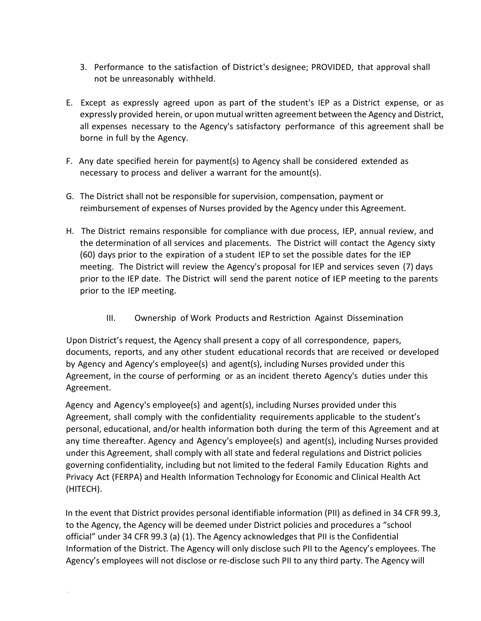- 3. Performance to the satisfaction of District's designee; PROVIDED, that approval shall not be unreasonably withheld.
- E. Except as expressly agreed upon as part of the student's IEP as a District expense, or as expressly provided herein, or upon mutual written agreement between the Agency and District, all expenses necessary to the Agency's satisfactory performance of this agreement shall be borne in full by the Agency.
- F. Any date specified herein for payment(s) to Agency shall be considered extended as necessary to process and deliver a warrant for the amount(s).
- G. The District shall not be responsible for supervision, compensation, payment or reimbursement of expenses of Nurses provided by the Agency under this Agreement.
- H. The District remains responsible for compliance with due process, IEP, annual review, and the determination of all services and placements. The District will contact the Agency sixty (60) days prior to the expiration of a student IEP to set the possible dates for the IEP meeting. The District will review the Agency's proposal for IEP and services seven (7) days prior to the IEP date. The District will send the parent notice of IEP meeting to the parents prior to the IEP meeting.
	- III. Ownership of Work Products and Restriction Against Dissemination

Upon District's request, the Agency shall present a copy of all correspondence, papers, documents, reports, and any other student educational records that are received or developed by Agency and Agency's employee(s) and agent(s), including Nurses provided under this Agreement, in the course of performing or as an incident thereto Agency's duties under this Agreement.

Agency and Agency's employee(s) and agent(s), including Nurses provided under this Agreement, shall comply with the confidentiality requirements applicable to the student's personal, educational, and/or health information both during the term of this Agreement and at any time thereafter. Agency and Agency's employee(s) and agent(s), including Nurses provided under this Agreement, shall comply with all state and federal regulations and District policies governing confidentiality, including but not limited to the federal Family Education Rights and Privacy Act (FERPA) and Health Information Technology for Economic and Clinical Health Act (HITECH).

In the event that District provides personal identifiable information (PII) as defined in 34 CFR 99.3, to the Agency, the Agency will be deemed under District policies and procedures a "school official" under 34 CFR 99.3 (a) (1). The Agency acknowledges that PII is the Confidential Information of the District. The Agency will only disclose such PII to the Agency's employees. The Agency's employees will not disclose or re-disclose such PII to any third party. The Agency will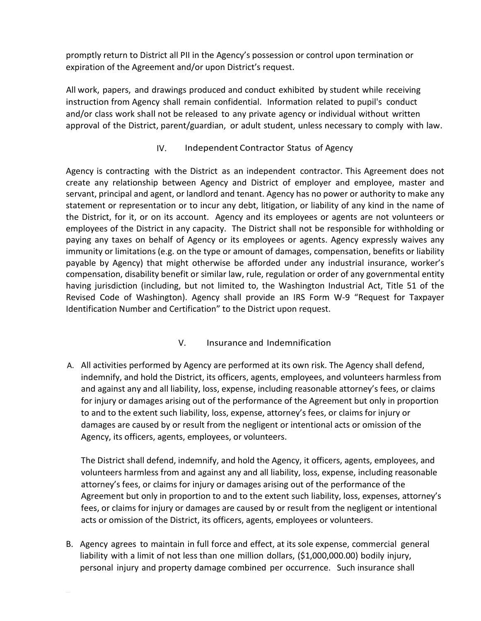promptly return to District all PII in the Agency's possession or control upon termination or expiration of the Agreement and/or upon District's request.

All work, papers, and drawings produced and conduct exhibited by student while receiving instruction from Agency shall remain confidential. Information related to pupil's conduct and/or class work shall not be released to any private agency or individual without written approval of the District, parent/guardian, or adult student, unless necessary to comply with law.

# IV. Independent Contractor Status of Agency

Agency is contracting with the District as an independent contractor. This Agreement does not create any relationship between Agency and District of employer and employee, master and servant, principal and agent, or landlord and tenant. Agency has no power or authority to make any statement or representation or to incur any debt, litigation, or liability of any kind in the name of the District, for it, or on its account. Agency and its employees or agents are not volunteers or employees of the District in any capacity. The District shall not be responsible for withholding or paying any taxes on behalf of Agency or its employees or agents. Agency expressly waives any immunity or limitations (e.g. on the type or amount of damages, compensation, benefits or liability payable by Agency) that might otherwise be afforded under any industrial insurance, worker's compensation, disability benefit or similar law, rule, regulation or order of any governmental entity having jurisdiction (including, but not limited to, the Washington Industrial Act, Title 51 of the Revised Code of Washington). Agency shall provide an IRS Form W-9 "Request for Taxpayer Identification Number and Certification" to the District upon request.

# V. Insurance and Indemnification

A. All activities performed by Agency are performed at its own risk. The Agency shall defend, indemnify, and hold the District, its officers, agents, employees, and volunteers harmless from and against any and all liability, loss, expense, including reasonable attorney's fees, or claims for injury or damages arising out of the performance of the Agreement but only in proportion to and to the extent such liability, loss, expense, attorney's fees, or claims for injury or damages are caused by or result from the negligent or intentional acts or omission of the Agency, its officers, agents, employees, or volunteers.

The District shall defend, indemnify, and hold the Agency, it officers, agents, employees, and volunteers harmless from and against any and all liability, loss, expense, including reasonable attorney's fees, or claims for injury or damages arising out of the performance of the Agreement but only in proportion to and to the extent such liability, loss, expenses, attorney's fees, or claims for injury or damages are caused by or result from the negligent or intentional acts or omission of the District, its officers, agents, employees or volunteers.

B. Agency agrees to maintain in full force and effect, at its sole expense, commercial general liability with a limit of not less than one million dollars, (\$1,000,000.00) bodily injury, personal injury and property damage combined per occurrence. Such insurance shall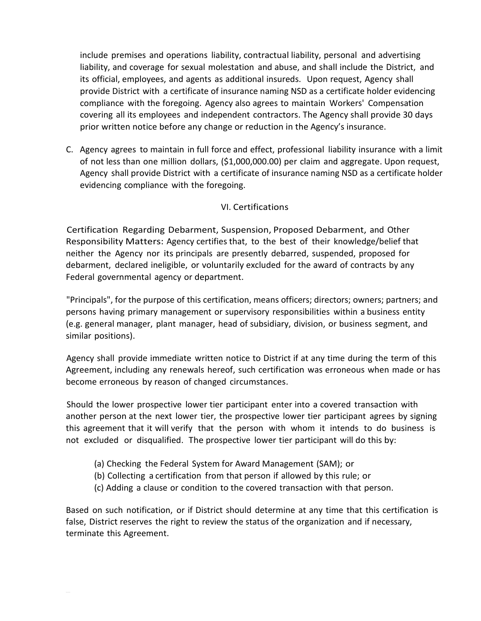include premises and operations liability, contractual liability, personal and advertising liability, and coverage for sexual molestation and abuse, and shall include the District, and its official, employees, and agents as additional insureds. Upon request, Agency shall provide District with a certificate of insurance naming NSD as a certificate holder evidencing compliance with the foregoing. Agency also agrees to maintain Workers' Compensation covering all its employees and independent contractors. The Agency shall provide 30 days prior written notice before any change or reduction in the Agency's insurance.

C. Agency agrees to maintain in full force and effect, professional liability insurance with a limit of not less than one million dollars, (\$1,000,000.00) per claim and aggregate. Upon request, Agency shall provide District with a certificate of insurance naming NSD as a certificate holder evidencing compliance with the foregoing.

## VI. Certifications

Certification Regarding Debarment, Suspension, Proposed Debarment, and Other Responsibility Matters: Agency certifies that, to the best of their knowledge/belief that neither the Agency nor its principals are presently debarred, suspended, proposed for debarment, declared ineligible, or voluntarily excluded for the award of contracts by any Federal governmental agency or department.

"Principals", for the purpose of this certification, means officers; directors; owners; partners; and persons having primary management or supervisory responsibilities within a business entity (e.g. general manager, plant manager, head of subsidiary, division, or business segment, and similar positions).

Agency shall provide immediate written notice to District if at any time during the term of this Agreement, including any renewals hereof, such certification was erroneous when made or has become erroneous by reason of changed circumstances.

Should the lower prospective lower tier participant enter into a covered transaction with another person at the next lower tier, the prospective lower tier participant agrees by signing this agreement that it will verify that the person with whom it intends to do business is not excluded or disqualified. The prospective lower tier participant will do this by:

- (a) Checking the Federal System for Award Management (SAM); or
- (b) Collecting a certification from that person if allowed by this rule; or
- (c) Adding a clause or condition to the covered transaction with that person.

Based on such notification, or if District should determine at any time that this certification is false, District reserves the right to review the status of the organization and if necessary, terminate this Agreement.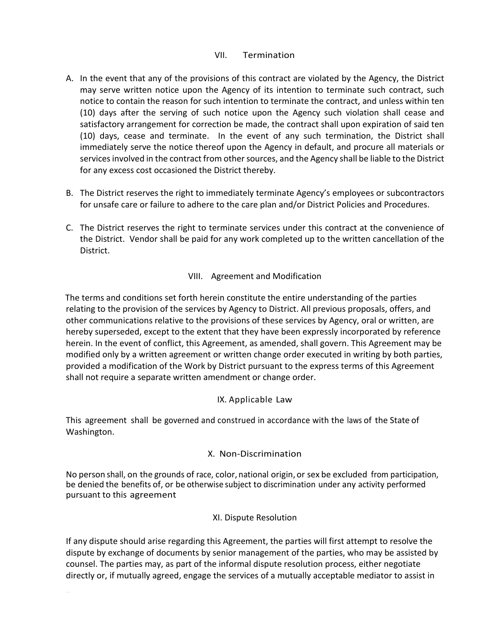# VII. Termination

- A. In the event that any of the provisions of this contract are violated by the Agency, the District may serve written notice upon the Agency of its intention to terminate such contract, such notice to contain the reason for such intention to terminate the contract, and unless within ten (10) days after the serving of such notice upon the Agency such violation shall cease and satisfactory arrangement for correction be made, the contract shall upon expiration of said ten (10) days, cease and terminate. In the event of any such termination, the District shall immediately serve the notice thereof upon the Agency in default, and procure all materials or services involved in the contract from other sources, and the Agency shall be liable to the District for any excess cost occasioned the District thereby.
- B. The District reserves the right to immediately terminate Agency's employees or subcontractors for unsafe care or failure to adhere to the care plan and/or District Policies and Procedures.
- C. The District reserves the right to terminate services under this contract at the convenience of the District. Vendor shall be paid for any work completed up to the written cancellation of the District.

# VIII. Agreement and Modification

The terms and conditions set forth herein constitute the entire understanding of the parties relating to the provision of the services by Agency to District. All previous proposals, offers, and other communications relative to the provisions of these services by Agency, oral or written, are hereby superseded, except to the extent that they have been expressly incorporated by reference herein. In the event of conflict, this Agreement, as amended, shall govern. This Agreement may be modified only by a written agreement or written change order executed in writing by both parties, provided a modification of the Work by District pursuant to the express terms of this Agreement shall not require a separate written amendment or change order.

# IX. Applicable Law

This agreement shall be governed and construed in accordance with the laws of the State of Washington.

# X. Non-Discrimination

No person shall, on the grounds of race, color, national origin, or sex be excluded from participation, be denied the benefits of, or be otherwise subject to discrimination under any activity performed pursuant to this agreement

# XI. Dispute Resolution

If any dispute should arise regarding this Agreement, the parties will first attempt to resolve the dispute by exchange of documents by senior management of the parties, who may be assisted by counsel. The parties may, as part of the informal dispute resolution process, either negotiate directly or, if mutually agreed, engage the services of a mutually acceptable mediator to assist in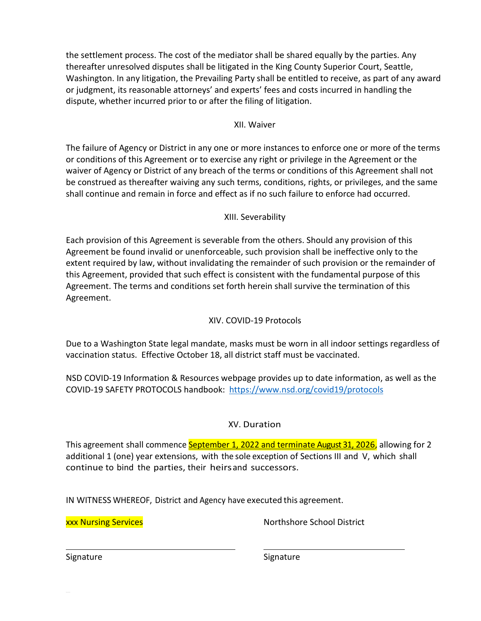the settlement process. The cost of the mediator shall be shared equally by the parties. Any thereafter unresolved disputes shall be litigated in the King County Superior Court, Seattle, Washington. In any litigation, the Prevailing Party shall be entitled to receive, as part of any award or judgment, its reasonable attorneys' and experts' fees and costs incurred in handling the dispute, whether incurred prior to or after the filing of litigation.

# XII. Waiver

The failure of Agency or District in any one or more instances to enforce one or more of the terms or conditions of this Agreement or to exercise any right or privilege in the Agreement or the waiver of Agency or District of any breach of the terms or conditions of this Agreement shall not be construed as thereafter waiving any such terms, conditions, rights, or privileges, and the same shall continue and remain in force and effect as if no such failure to enforce had occurred.

# XIII. Severability

Each provision of this Agreement is severable from the others. Should any provision of this Agreement be found invalid or unenforceable, such provision shall be ineffective only to the extent required by law, without invalidating the remainder of such provision or the remainder of this Agreement, provided that such effect is consistent with the fundamental purpose of this Agreement. The terms and conditions set forth herein shall survive the termination of this Agreement.

# XIV. COVID-19 Protocols

Due to a Washington State legal mandate, masks must be worn in all indoor settings regardless of vaccination status. Effective October 18, all district staff must be vaccinated.

NSD COVID-19 Information & Resources webpage provides up to date information, as well as the COVID-19 SAFETY PROTOCOLS handbook: <https://www.nsd.org/covid19/protocols>

# XV. Duration

This agreement shall commence September 1, 2022 and terminate August 31, 2026, allowing for 2 additional 1 (one) year extensions, with the sole exception of Sections III and V, which shall continue to bind the parties, their heirsand successors.

IN WITNESS WHEREOF, District and Agency have executed this agreement.

xxx Nursing Services Northshore School District

l

Signature Signature Signature Signature Signature